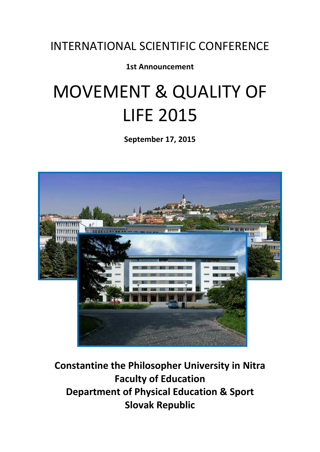# INTERNATIONAL SCIENTIFIC CONFERENCE

# **1st Announcement**

# MOVEMENT & QUALITY OF LIFE 2015

**September 17, 2015**



**Constantine the Philosopher University in Nitra Faculty of Education Department of Physical Education & Sport Slovak Republic**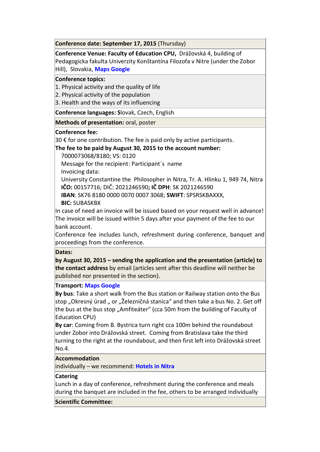**Conference date: September 17, 2015** (Thursday)

**Conference Venue: Faculty of Education CPU,** Drážovská 4, building of Pedagogicka fakulta Univerzity Konštantína Filozofa v Nitre (under the Zobor Hill), Slovakia, **Maps [Google](http://maps.google.sk/maps?q=UKF&hl=sk&ie=UTF8&view=map&cid=8477296194785492691&iwloc=A&ved=0CCsQpQY&sa=X&ei=Z1k2TovXBJKSsgb6kbn2BA)**

#### **Conference topics:**

1. Physical activity and the quality of life

2. Physical activity of the population

3. Health and the ways of its influencing

**Conference languages: S**lovak, Czech, English

**Methods of presentation:** oral, poster

#### **Conference fee:**

 $30 \notin$  for one contribution. The fee is paid only by active participants.

#### **The fee to be paid by August 30, 2015 to the account number:**

7000073068/8180; VS: 0120

 Message for the recipient: Participant´s name Invoicing data:

 University Constantine the Philosopher in Nitra, Tr. A. Hlinku 1, 949 74, Nitra **IČO:** 00157716; DIČ: 2021246590**; IČ DPH**: SK 2021246590

**IBAN**: SK76 8180 0000 0070 0007 3068; **SWIFT**: SPSRSKBAXXX,

#### **BIC:** SUBASKBX

In case of need an invoice will be issued based on your request well in advance! The invoice will be issued within 5 days after your payment of the fee to our bank account.

Conference fee includes lunch, refreshment during conference, banquet and proceedings from the conference.

#### **Dates:**

**by August 30, 2015 – sending the application and the presentation (article) to the contact address** by email (articles sent after this deadline will neither be published nor presented in the section).

#### **Transport: Maps [Google](http://maps.google.sk/maps?q=UKF&hl=sk&ie=UTF8&view=map&cid=8477296194785492691&iwloc=A&ved=0CCsQpQY&sa=X&ei=Z1k2TovXBJKSsgb6kbn2BA)**

**By bus**: Take a short walk from the Bus station or Railway station onto the Bus stop "Okresný úrad " or "Železničná stanica" and then take a bus No. 2. Get off the bus at the bus stop "Amfiteáter" (cca 50m from the building of Faculty of Education CPU)

**By car**: Coming from B. Bystrica turn right cca 100m behind the roundabout under Zobor into Drážovská street. Coming from Bratislava take the third turning to the right at the roundabout, and then first left into Drážovská street  $No.4.$ 

#### **Accommodation**

individually – we recommend: **[Hotels](http://www.booking.com/city/sk/nitra.sk.html?aid=350899;label=nitra-59Ui3EaQ0ZP9Aca1zwlKkQS14344468219:pl:ta:p1:p2:ac:ap1t1:neg;ws=&gclid=CIbowMSW9LMCFdG6zAod5j8AVg) in Nitra**

#### **Catering**

Lunch in a day of conference, refreshment during the conference and meals during the banquet are included in the fee, others to be arranged individually

#### **Scientific Committee:**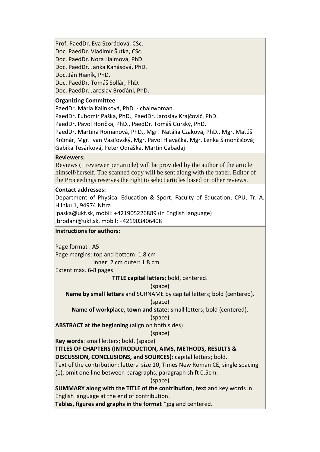Prof. PaedDr. Eva Szorádová, CSc. Doc. PaedDr. Vladimír Šutka, CSc. Doc. PaedDr. Nora Halmová, PhD. Doc. PaedDr. Janka Kanásová, PhD. Doc. Ján Hianík, PhD. Doc. PaedDr. Tomáš Sollár, PhD. Doc. PaedDr. Jaroslav Broďáni, PhD.

#### **Organizing Committee**

PaedDr. Mária Kalinková, PhD. - chairwoman

PaedDr. Ľubomír Paška, PhD., PaedDr. Jaroslav Krajčovič, PhD.

PaedDr. Pavol Horička, PhD., PaedDr. Tomáš Gurský, PhD.

PaedDr. Martina Romanová, PhD., Mgr. Natália Czaková, PhD., Mgr. Matúš Krčmár, Mgr. Ivan Vasiľovský, Mgr. Pavol Hlavačka, Mgr. Lenka Šimončičová; Gabika Tesárková, Peter Odráška, Martin Cabadaj

#### **Reviewers:**

Reviews (1 reviewer per article) will be provided by the author of the article himself/herself. The scanned copy will be sent along with the paper. Editor of the Proceedings reserves the right to select articles based on other reviews.

#### **Contact addresses:**

Department of Physical Education & Sport, Faculty of Education, CPU, Tr. A. Hlinku 1, 94974 Nitra

lpaska@ukf.sk, mobil: +421905226889 (in English language)

jbrodani@ukf.sk, mobil: +421903406408

#### **Instructions for authors:**

Page format : A5

Page margins: top and bottom: 1.8 cm inner: 2 cm outer: 1.8 cm

Extent max. 6-8 pages

**TITLE capital letters**; bold, centered.

#### (space)

**Name by small letters** and SURNAME by capital letters; bold (centered).

#### (space)

**Name of workplace, town and state**: small letters; bold (centered).

#### (space)

**ABSTRACT at the beginning** (align on both sides)

#### (space)

**Key words**: small letters; bold. (space)

**TITLES OF CHAPTERS (INTRODUCTION, AIMS, METHODS, RESULTS &** 

**DISCUSSION, CONCLUSIONS, and SOURCES)**: capital letters; bold.

Text of the contribution: letters´ size 10, Times New Roman CE, single spacing (1), omit one line between paragraphs, paragraph shift 0.5cm.

(space)

**SUMMARY along with the TITLE of the contribution**, **text** and key words in English language at the end of contribution.

**Tables, figures and graphs in the format** \*jpg and centered.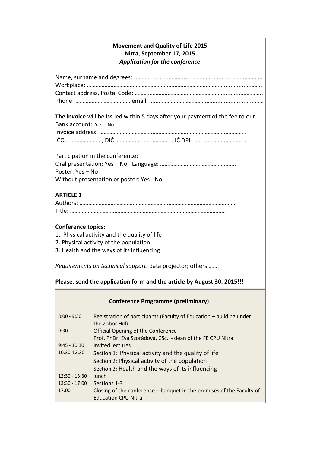#### **Movement and Quality of Life 2015 Nitra, September 17, 2015** *Application for the conference*

**The invoice** will be issued within 5 days after your payment of the fee to our Bank account:: Yes - No

Participation in the conference: Oral presentation: Yes – No; Language: …………………………………………... Poster: Yes – No Without presentation or poster: Yes - No

# **ARTICLE 1**

### **Conference topics:**

- 1. Physical activity and the quality of life
- 2. Physical activity of the population
- 3. Health and the ways of its influencing

*Requirements on technical support:* data projector; others …….

**Please, send the application form and the article by August 30, 2015!!!**

## **Conference Programme (preliminary)**

| $8:00 - 9:30$   | Registration of participants (Faculty of Education - building under<br>the Zobor Hill) |
|-----------------|----------------------------------------------------------------------------------------|
| 9:30            | <b>Official Opening of the Conference</b>                                              |
|                 | Prof. PhDr. Eva Szorádová, CSc. - dean of the FE CPU Nitra                             |
| $9:45 - 10:30$  | Invited lectures                                                                       |
| 10:30-12:30     | Section 1: Physical activity and the quality of life                                   |
|                 | Section 2: Physical activity of the population                                         |
|                 | Section 3: Health and the ways of its influencing                                      |
| $12:30 - 13:30$ | lunch                                                                                  |
| $13:30 - 17:00$ | Sections 1-3                                                                           |
| 17:00           | Closing of the conference – banquet in the premises of the Faculty of                  |
|                 | <b>Education CPU Nitra</b>                                                             |